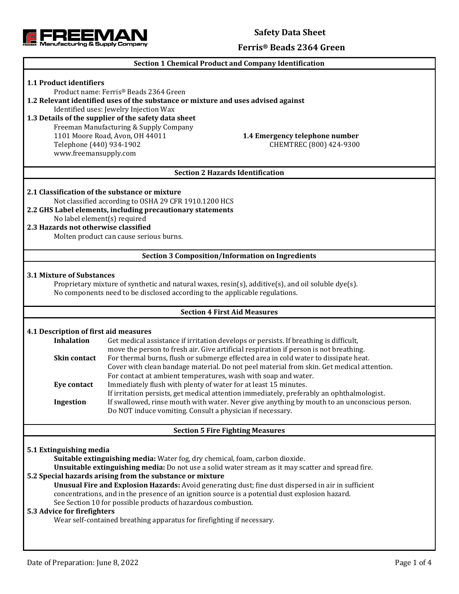



### **Ferris® Beads 2364 Green**

# **Section 1 Chemical Product and Company Identification 1.1 Product identifiers** Product name: Ferris® Beads 2364 Green **1.2 Relevant identified uses of the substance or mixture and uses advised against** Identified uses: Jewelry Injection Wax **1.3 Details of the supplier of the safety data sheet** Freeman Manufacturing & Supply Company 1101 Moore Road, Avon, OH 44011 **1.4 Emergency telephone number** Telephone (440) 934-1902 CHEMTREC (800) 424-9300 www.freemansupply.com **Section 2 Hazards Identification 2.1 Classification of the substance or mixture** Not classified according to OSHA 29 CFR 1910.1200 HCS **2.2 GHS Label elements, including precautionary statements** No label element(s) required **2.3 Hazards not otherwise classified** Molten product can cause serious burns. **Section 3 Composition/Information on Ingredients 3.1 Mixture of Substances** Proprietary mixture of synthetic and natural waxes, resin(s), additive(s), and oil soluble dye(s). No components need to be disclosed according to the applicable regulations. **Section 4 First Aid Measures 4.1 Description of first aid measures Inhalation** Get medical assistance if irritation develops or persists. If breathing is difficult, move the person to fresh air. Give artificial respiration if person is not breathing. **Skin contact** For thermal burns, flush or submerge effected area in cold water to dissipate heat. Cover with clean bandage material. Do not peel material from skin. Get medical attention. For contact at ambient temperatures, wash with soap and water. **Eye contact** Immediately flush with plenty of water for at least 15 minutes. If irritation persists, get medical attention immediately, preferably an ophthalmologist. **Ingestion** If swallowed, rinse mouth with water. Never give anything by mouth to an unconscious person. Do NOT induce vomiting. Consult a physician if necessary. **Section 5 Fire Fighting Measures 5.1 Extinguishing media Suitable extinguishing media:** Water fog, dry chemical, foam, carbon dioxide. **Unsuitable extinguishing media:** Do not use a solid water stream as it may scatter and spread fire. **5.2 Special hazards arising from the substance or mixture Unusual Fire and Explosion Hazards:** Avoid generating dust; fine dust dispersed in air in sufficient concentrations, and in the presence of an ignition source is a potential dust explosion hazard. See Section 10 for possible products of hazardous combustion. **5.3 Advice for firefighters** Wear self-contained breathing apparatus for firefighting if necessary.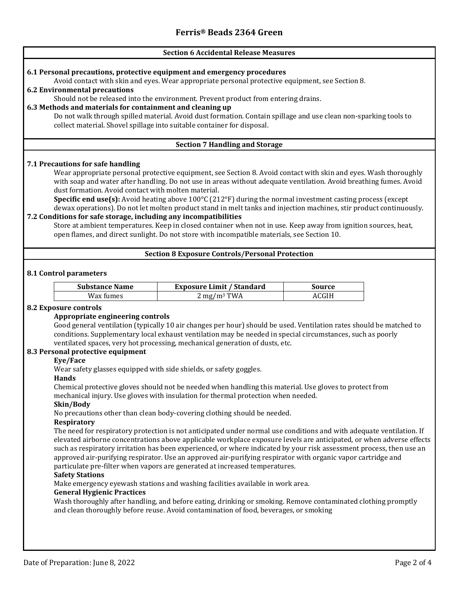## **Section 6 Accidental Release Measures 6.1 Personal precautions, protective equipment and emergency procedures** Avoid contact with skin and eyes. Wear appropriate personal protective equipment, see Section 8. **6.2 Environmental precautions** Should not be released into the environment. Prevent product from entering drains. **6.3 Methods and materials for containment and cleaning up** Do not walk through spilled material. Avoid dust formation. Contain spillage and use clean non-sparking tools to collect material. Shovel spillage into suitable container for disposal. **Section 7 Handling and Storage 7.1 Precautions for safe handling** Wear appropriate personal protective equipment, see Section 8. Avoid contact with skin and eyes. Wash thoroughly with soap and water after handling. Do not use in areas without adequate ventilation. Avoid breathing fumes. Avoid dust formation. Avoid contact with molten material. **Specific end use(s):** Avoid heating above 100°C (212°F) during the normal investment casting process (except dewax operations). Do not let molten product stand in melt tanks and injection machines, stir product continuously. **7.2 Conditions for safe storage, including any incompatibilities** Store at ambient temperatures. Keep in closed container when not in use. Keep away from ignition sources, heat, open flames, and direct sunlight. Do not store with incompatible materials, see Section 10. **Section 8 Exposure Controls/Personal Protection 8.1 Control parameters Substance Name Exposure Limit / Standard Source**  $Wax \, \text{fumes}$  2 mg/m<sup>3</sup> TWA  $ACGIH$ **8.2 Exposure controls Appropriate engineering controls** Good general ventilation (typically 10 air changes per hour) should be used. Ventilation rates should be matched to conditions. Supplementary local exhaust ventilation may be needed in special circumstances, such as poorly ventilated spaces, very hot processing, mechanical generation of dusts, etc. **8.3 Personal protective equipment Eye/Face** Wear safety glasses equipped with side shields, or safety goggles. **Hands** Chemical protective gloves should not be needed when handling this material. Use gloves to protect from mechanical injury. Use gloves with insulation for thermal protection when needed. **Skin/Body** No precautions other than clean body-covering clothing should be needed. **Respiratory** The need for respiratory protection is not anticipated under normal use conditions and with adequate ventilation. If elevated airborne concentrations above applicable workplace exposure levels are anticipated, or when adverse effects such as respiratory irritation has been experienced, or where indicated by your risk assessment process, then use an approved air-purifying respirator. Use an approved air-purifying respirator with organic vapor cartridge and particulate pre-filter when vapors are generated at increased temperatures. **Safety Stations** Make emergency eyewash stations and washing facilities available in work area. **General Hygienic Practices** Wash thoroughly after handling, and before eating, drinking or smoking. Remove contaminated clothing promptly and clean thoroughly before reuse. Avoid contamination of food, beverages, or smoking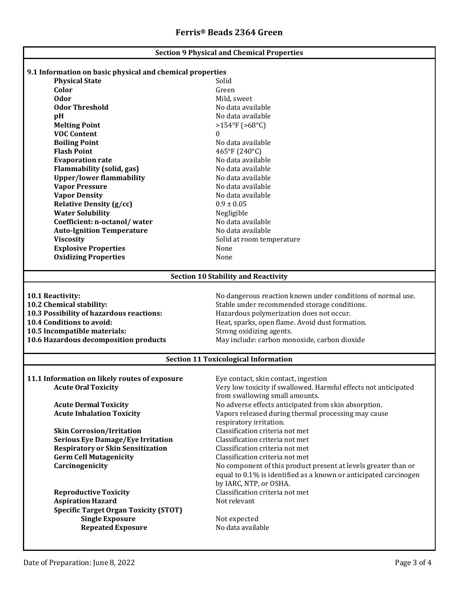| <b>Section 9 Physical and Chemical Properties</b>         |                                                                  |  |  |  |
|-----------------------------------------------------------|------------------------------------------------------------------|--|--|--|
|                                                           |                                                                  |  |  |  |
| 9.1 Information on basic physical and chemical properties |                                                                  |  |  |  |
| <b>Physical State</b><br>Color                            | Solid<br>Green                                                   |  |  |  |
| <b>Odor</b>                                               |                                                                  |  |  |  |
| <b>Odor Threshold</b>                                     | Mild, sweet                                                      |  |  |  |
|                                                           | No data available                                                |  |  |  |
| pH                                                        | No data available                                                |  |  |  |
| <b>Melting Point</b>                                      | $>154^{\circ}F(>68^{\circ}C)$                                    |  |  |  |
| <b>VOC Content</b>                                        | $\bf{0}$                                                         |  |  |  |
| <b>Boiling Point</b>                                      | No data available                                                |  |  |  |
| <b>Flash Point</b>                                        | 465°F (240°C)                                                    |  |  |  |
| <b>Evaporation rate</b>                                   | No data available                                                |  |  |  |
| <b>Flammability (solid, gas)</b>                          | No data available                                                |  |  |  |
| <b>Upper/lower flammability</b>                           | No data available                                                |  |  |  |
| <b>Vapor Pressure</b>                                     | No data available                                                |  |  |  |
| <b>Vapor Density</b>                                      | No data available                                                |  |  |  |
| <b>Relative Density (g/cc)</b>                            | $0.9 \pm 0.05$                                                   |  |  |  |
| <b>Water Solubility</b>                                   | Negligible                                                       |  |  |  |
| Coefficient: n-octanol/water                              | No data available                                                |  |  |  |
| <b>Auto-Ignition Temperature</b>                          | No data available                                                |  |  |  |
| <b>Viscosity</b>                                          | Solid at room temperature                                        |  |  |  |
| <b>Explosive Properties</b>                               | None                                                             |  |  |  |
| <b>Oxidizing Properties</b>                               | None                                                             |  |  |  |
| <b>Section 10 Stability and Reactivity</b>                |                                                                  |  |  |  |
|                                                           |                                                                  |  |  |  |
| 10.1 Reactivity:                                          | No dangerous reaction known under conditions of normal use.      |  |  |  |
| 10.2 Chemical stability:                                  | Stable under recommended storage conditions.                     |  |  |  |
| 10.3 Possibility of hazardous reactions:                  | Hazardous polymerization does not occur.                         |  |  |  |
| 10.4 Conditions to avoid:                                 | Heat, sparks, open flame. Avoid dust formation.                  |  |  |  |
| 10.5 Incompatible materials:                              | Strong oxidizing agents.                                         |  |  |  |
| 10.6 Hazardous decomposition products                     | May include: carbon monoxide, carbon dioxide                     |  |  |  |
| <b>Section 11 Toxicological Information</b>               |                                                                  |  |  |  |
|                                                           |                                                                  |  |  |  |
| 11.1 Information on likely routes of exposure             | Eye contact, skin contact, ingestion                             |  |  |  |
| <b>Acute Oral Toxicity</b>                                | Very low toxicity if swallowed. Harmful effects not anticipated  |  |  |  |
|                                                           | from swallowing small amounts.                                   |  |  |  |
| <b>Acute Dermal Toxicity</b>                              | No adverse effects anticipated from skin absorption.             |  |  |  |
| <b>Acute Inhalation Toxicity</b>                          | Vapors released during thermal processing may cause              |  |  |  |
|                                                           | respiratory irritation.                                          |  |  |  |
| <b>Skin Corrosion/Irritation</b>                          | Classification criteria not met                                  |  |  |  |
| <b>Serious Eye Damage/Eye Irritation</b>                  | Classification criteria not met                                  |  |  |  |
| <b>Respiratory or Skin Sensitization</b>                  | Classification criteria not met                                  |  |  |  |
| <b>Germ Cell Mutagenicity</b>                             | Classification criteria not met                                  |  |  |  |
| Carcinogenicity                                           | No component of this product present at levels greater than or   |  |  |  |
|                                                           | equal to 0.1% is identified as a known or anticipated carcinogen |  |  |  |
|                                                           | by IARC, NTP, or OSHA.                                           |  |  |  |
| <b>Reproductive Toxicity</b>                              | Classification criteria not met                                  |  |  |  |
| <b>Aspiration Hazard</b>                                  | Not relevant                                                     |  |  |  |
| <b>Specific Target Organ Toxicity (STOT)</b>              |                                                                  |  |  |  |
| <b>Single Exposure</b>                                    | Not expected                                                     |  |  |  |
| <b>Repeated Exposure</b>                                  | No data available                                                |  |  |  |
|                                                           |                                                                  |  |  |  |